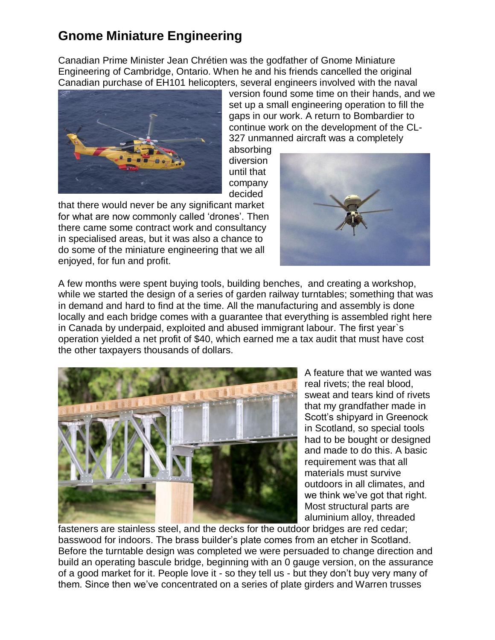## **Gnome Miniature Engineering**

Canadian Prime Minister Jean Chrétien was the godfather of Gnome Miniature Engineering of Cambridge, Ontario. When he and his friends cancelled the original Canadian purchase of EH101 helicopters, several engineers involved with the naval



version found some time on their hands, and we set up a small engineering operation to fill the gaps in our work. A return to Bombardier to continue work on the development of the CL-327 unmanned aircraft was a completely

absorbing diversion until that company decided

that there would never be any significant market for what are now commonly called 'drones'. Then there came some contract work and consultancy in specialised areas, but it was also a chance to do some of the miniature engineering that we all enjoyed, for fun and profit.



A few months were spent buying tools, building benches, and creating a workshop, while we started the design of a series of garden railway turntables; something that was in demand and hard to find at the time. All the manufacturing and assembly is done locally and each bridge comes with a guarantee that everything is assembled right here in Canada by underpaid, exploited and abused immigrant labour. The first year`s operation yielded a net profit of \$40, which earned me a tax audit that must have cost the other taxpayers thousands of dollars.



A feature that we wanted was real rivets; the real blood, sweat and tears kind of rivets that my grandfather made in Scott's shipyard in Greenock in Scotland, so special tools had to be bought or designed and made to do this. A basic requirement was that all materials must survive outdoors in all climates, and we think we've got that right. Most structural parts are aluminium alloy, threaded

fasteners are stainless steel, and the decks for the outdoor bridges are red cedar; basswood for indoors. The brass builder's plate comes from an etcher in Scotland. Before the turntable design was completed we were persuaded to change direction and build an operating bascule bridge, beginning with an 0 gauge version, on the assurance of a good market for it. People love it - so they tell us - but they don't buy very many of them. Since then we've concentrated on a series of plate girders and Warren trusses